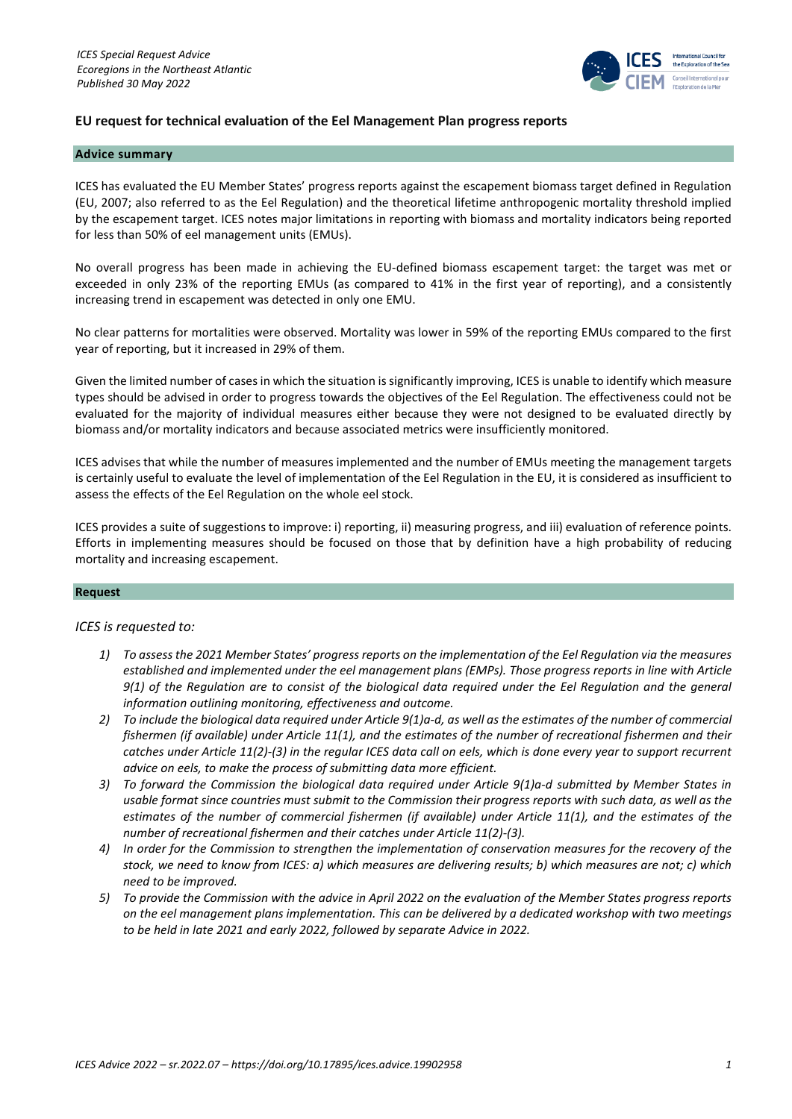

# **EU request for technical evaluation of the Eel Management Plan progress reports**

### **Advice summary**

ICES has evaluated the EU Member States' progress reports against the escapement biomass target defined in Regulation (EU, 2007; also referred to as the Eel Regulation) and the theoretical lifetime anthropogenic mortality threshold implied by the escapement target. ICES notes major limitations in reporting with biomass and mortality indicators being reported for less than 50% of eel management units (EMUs).

No overall progress has been made in achieving the EU-defined biomass escapement target: the target was met or exceeded in only 23% of the reporting EMUs (as compared to 41% in the first year of reporting), and a consistently increasing trend in escapement was detected in only one EMU.

No clear patterns for mortalities were observed. Mortality was lower in 59% of the reporting EMUs compared to the first year of reporting, but it increased in 29% of them.

Given the limited number of cases in which the situation is significantly improving, ICES is unable to identify which measure types should be advised in order to progress towards the objectives of the Eel Regulation. The effectiveness could not be evaluated for the majority of individual measures either because they were not designed to be evaluated directly by biomass and/or mortality indicators and because associated metrics were insufficiently monitored.

ICES advises that while the number of measures implemented and the number of EMUs meeting the management targets is certainly useful to evaluate the level of implementation of the Eel Regulation in the EU, it is considered as insufficient to assess the effects of the Eel Regulation on the whole eel stock.

ICES provides a suite of suggestions to improve: i) reporting, ii) measuring progress, and iii) evaluation of reference points. Efforts in implementing measures should be focused on those that by definition have a high probability of reducing mortality and increasing escapement.

### **Request**

## *ICES is requested to:*

- *1) To assess the 2021 Member States' progress reports on the implementation of the Eel Regulation via the measures established and implemented under the eel management plans (EMPs). Those progress reports in line with Article 9(1) of the Regulation are to consist of the biological data required under the Eel Regulation and the general information outlining monitoring, effectiveness and outcome.*
- *2) To include the biological data required under Article 9(1)a-d, as well as the estimates of the number of commercial fishermen (if available) under Article 11(1), and the estimates of the number of recreational fishermen and their catches under Article 11(2)-(3) in the regular ICES data call on eels, which is done every year to support recurrent advice on eels, to make the process of submitting data more efficient.*
- *3) To forward the Commission the biological data required under Article 9(1)a-d submitted by Member States in usable format since countries must submit to the Commission their progress reports with such data, as well as the estimates of the number of commercial fishermen (if available) under Article 11(1), and the estimates of the number of recreational fishermen and their catches under Article 11(2)-(3).*
- *4) In order for the Commission to strengthen the implementation of conservation measures for the recovery of the stock, we need to know from ICES: a) which measures are delivering results; b) which measures are not; c) which need to be improved.*
- *5) To provide the Commission with the advice in April 2022 on the evaluation of the Member States progress reports on the eel management plans implementation. This can be delivered by a dedicated workshop with two meetings to be held in late 2021 and early 2022, followed by separate Advice in 2022.*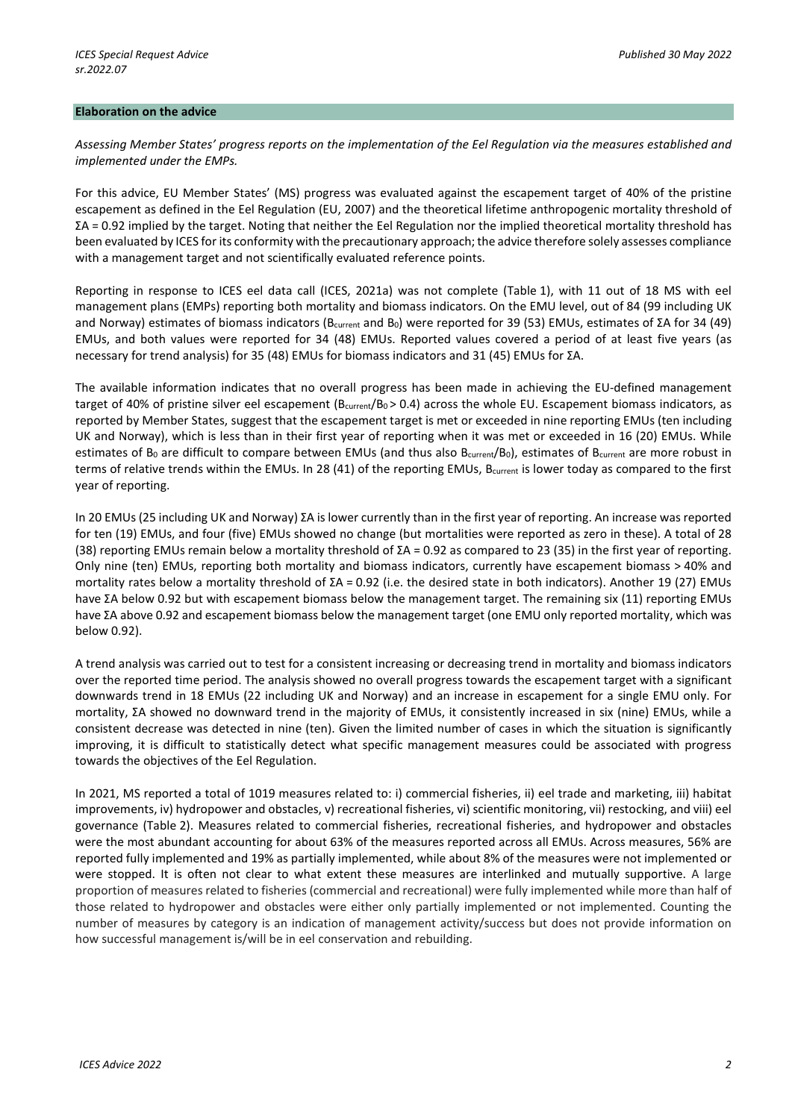#### **Elaboration on the advice**

*Assessing Member States' progress reports on the implementation of the Eel Regulation via the measures established and implemented under the EMPs.*

For this advice, EU Member States' (MS) progress was evaluated against the escapement target of 40% of the pristine escapement as defined in the Eel Regulation (EU, 2007) and the theoretical lifetime anthropogenic mortality threshold of ΣA = 0.92 implied by the target. Noting that neither the Eel Regulation nor the implied theoretical mortality threshold has been evaluated by ICES for its conformity with the precautionary approach; the advice therefore solely assesses compliance with a management target and not scientifically evaluated reference points.

Reporting in response to ICES eel data call (ICES, 2021a) was not complete (Table 1), with 11 out of 18 MS with eel management plans (EMPs) reporting both mortality and biomass indicators. On the EMU level, out of 84 (99 including UK and Norway) estimates of biomass indicators (B<sub>current</sub> and B<sub>0</sub>) were reported for 39 (53) EMUs, estimates of ΣA for 34 (49) EMUs, and both values were reported for 34 (48) EMUs. Reported values covered a period of at least five years (as necessary for trend analysis) for 35 (48) EMUs for biomass indicators and 31 (45) EMUs for ΣA.

The available information indicates that no overall progress has been made in achieving the EU-defined management target of 40% of pristine silver eel escapement ( $B<sub>current</sub>/B<sub>0</sub> > 0.4$ ) across the whole EU. Escapement biomass indicators, as reported by Member States, suggest that the escapement target is met or exceeded in nine reporting EMUs (ten including UK and Norway), which is less than in their first year of reporting when it was met or exceeded in 16 (20) EMUs. While estimates of  $B_0$  are difficult to compare between EMUs (and thus also  $B_{\text{current}}(B_0)$ , estimates of  $B_{\text{current}}$  are more robust in terms of relative trends within the EMUs. In 28 (41) of the reporting EMUs, Bcurrent is lower today as compared to the first year of reporting.

In 20 EMUs (25 including UK and Norway) ΣA is lower currently than in the first year of reporting. An increase was reported for ten (19) EMUs, and four (five) EMUs showed no change (but mortalities were reported as zero in these). A total of 28 (38) reporting EMUs remain below a mortality threshold of ΣA = 0.92 as compared to 23 (35) in the first year of reporting. Only nine (ten) EMUs, reporting both mortality and biomass indicators, currently have escapement biomass > 40% and mortality rates below a mortality threshold of ΣA = 0.92 (i.e. the desired state in both indicators). Another 19 (27) EMUs have ΣA below 0.92 but with escapement biomass below the management target. The remaining six (11) reporting EMUs have ΣA above 0.92 and escapement biomass below the management target (one EMU only reported mortality, which was below 0.92).

A trend analysis was carried out to test for a consistent increasing or decreasing trend in mortality and biomass indicators over the reported time period. The analysis showed no overall progress towards the escapement target with a significant downwards trend in 18 EMUs (22 including UK and Norway) and an increase in escapement for a single EMU only. For mortality, ΣA showed no downward trend in the majority of EMUs, it consistently increased in six (nine) EMUs, while a consistent decrease was detected in nine (ten). Given the limited number of cases in which the situation is significantly improving, it is difficult to statistically detect what specific management measures could be associated with progress towards the objectives of the Eel Regulation.

In 2021, MS reported a total of 1019 measures related to: i) commercial fisheries, ii) eel trade and marketing, iii) habitat improvements, iv) hydropower and obstacles, v) recreational fisheries, vi) scientific monitoring, vii) restocking, and viii) eel governance (Table 2). Measures related to commercial fisheries, recreational fisheries, and hydropower and obstacles were the most abundant accounting for about 63% of the measures reported across all EMUs. Across measures, 56% are reported fully implemented and 19% as partially implemented, while about 8% of the measures were not implemented or were stopped. It is often not clear to what extent these measures are interlinked and mutually supportive. A large proportion of measures related to fisheries (commercial and recreational) were fully implemented while more than half of those related to hydropower and obstacles were either only partially implemented or not implemented. Counting the number of measures by category is an indication of management activity/success but does not provide information on how successful management is/will be in eel conservation and rebuilding.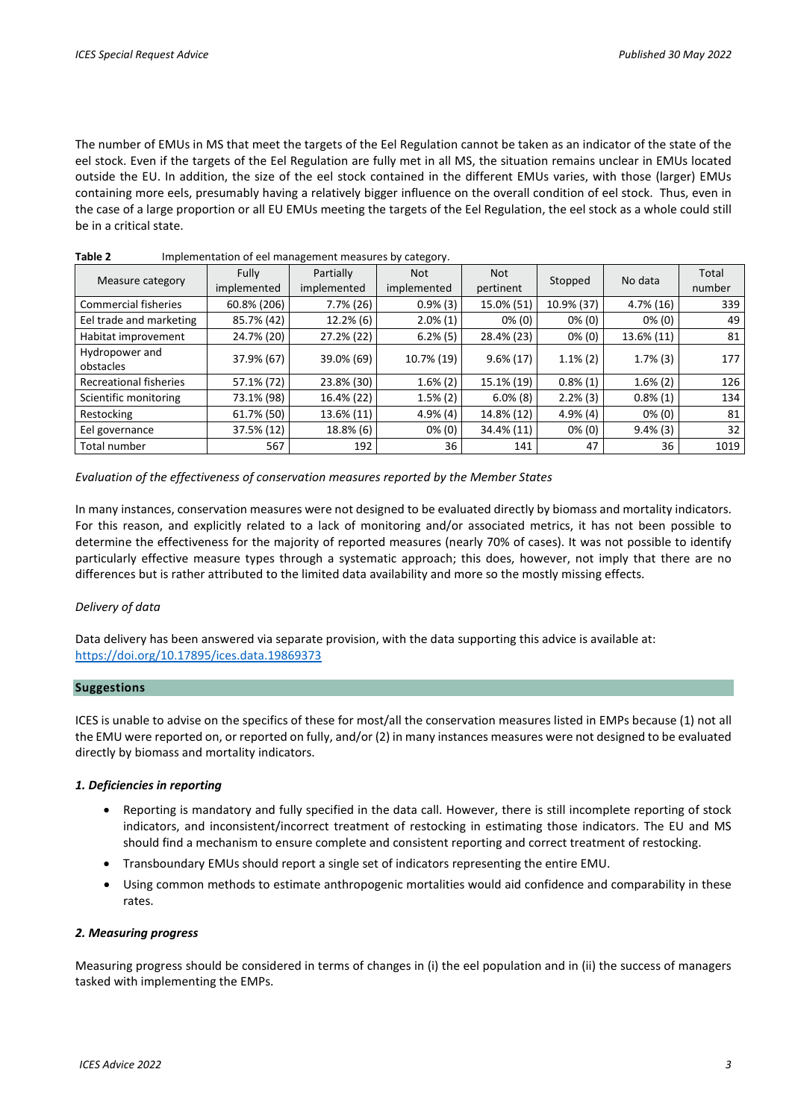The number of EMUs in MS that meet the targets of the Eel Regulation cannot be taken as an indicator of the state of the eel stock. Even if the targets of the Eel Regulation are fully met in all MS, the situation remains unclear in EMUs located outside the EU. In addition, the size of the eel stock contained in the different EMUs varies, with those (larger) EMUs containing more eels, presumably having a relatively bigger influence on the overall condition of eel stock. Thus, even in the case of a large proportion or all EU EMUs meeting the targets of the Eel Regulation, the eel stock as a whole could still be in a critical state.

| Measure category              | Fully<br>implemented | Partially<br>implemented | <b>Not</b><br>implemented | <b>Not</b><br>pertinent | Stopped     | No data      | Total<br>number |
|-------------------------------|----------------------|--------------------------|---------------------------|-------------------------|-------------|--------------|-----------------|
| <b>Commercial fisheries</b>   | 60.8% (206)          | $7.7\%$ (26)             | $0.9\%$ (3)               | 15.0% (51)              | 10.9% (37)  | $4.7\%$ (16) | 339             |
| Eel trade and marketing       | 85.7% (42)           | $12.2\%$ (6)             | $2.0\%(1)$                | $0\%$ (0)               | $0\%$ (0)   | $0\%$ (0)    | 49              |
| Habitat improvement           | 24.7% (20)           | 27.2% (22)               | $6.2\%$ (5)               | 28.4% (23)              | $0\%$ (0)   | 13.6% (11)   | 81              |
| Hydropower and<br>obstacles   | 37.9% (67)           | 39.0% (69)               | 10.7% (19)                | $9.6\% (17)$            | $1.1\%$ (2) | $1.7\%$ (3)  | 177             |
| <b>Recreational fisheries</b> | 57.1% (72)           | 23.8% (30)               | $1.6\%$ (2)               | 15.1% (19)              | $0.8\%(1)$  | $1.6\%$ (2)  | 126             |
| Scientific monitoring         | 73.1% (98)           | 16.4% (22)               | $1.5\%$ (2)               | $6.0\%$ (8)             | $2.2\%$ (3) | $0.8\%(1)$   | 134             |
| Restocking                    | 61.7% (50)           | 13.6% (11)               | $4.9\%$ (4)               | 14.8% (12)              | $4.9\%$ (4) | $0\%$ (0)    | 81              |
| Eel governance                | 37.5% (12)           | 18.8% (6)                | $0\%$ (0)                 | 34.4% (11)              | $0\%$ (0)   | $9.4\%$ (3)  | 32              |
| Total number                  | 567                  | 192                      | 36                        | 141                     | 47          | 36           | 1019            |

**Table 2** Implementation of eel management measures by category.

*Evaluation of the effectiveness of conservation measures reported by the Member States*

In many instances, conservation measures were not designed to be evaluated directly by biomass and mortality indicators. For this reason, and explicitly related to a lack of monitoring and/or associated metrics, it has not been possible to determine the effectiveness for the majority of reported measures (nearly 70% of cases). It was not possible to identify particularly effective measure types through a systematic approach; this does, however, not imply that there are no differences but is rather attributed to the limited data availability and more so the mostly missing effects.

## *Delivery of data*

Data delivery has been answered via separate provision, with the data supporting this advice is available at: <https://doi.org/10.17895/ices.data.19869373>

## **Suggestions**

ICES is unable to advise on the specifics of these for most/all the conservation measures listed in EMPs because (1) not all the EMU were reported on, or reported on fully, and/or (2) in many instances measures were not designed to be evaluated directly by biomass and mortality indicators.

## *1. Deficiencies in reporting*

- Reporting is mandatory and fully specified in the data call. However, there is still incomplete reporting of stock indicators, and inconsistent/incorrect treatment of restocking in estimating those indicators. The EU and MS should find a mechanism to ensure complete and consistent reporting and correct treatment of restocking.
- Transboundary EMUs should report a single set of indicators representing the entire EMU.
- Using common methods to estimate anthropogenic mortalities would aid confidence and comparability in these rates.

## *2. Measuring progress*

Measuring progress should be considered in terms of changes in (i) the eel population and in (ii) the success of managers tasked with implementing the EMPs.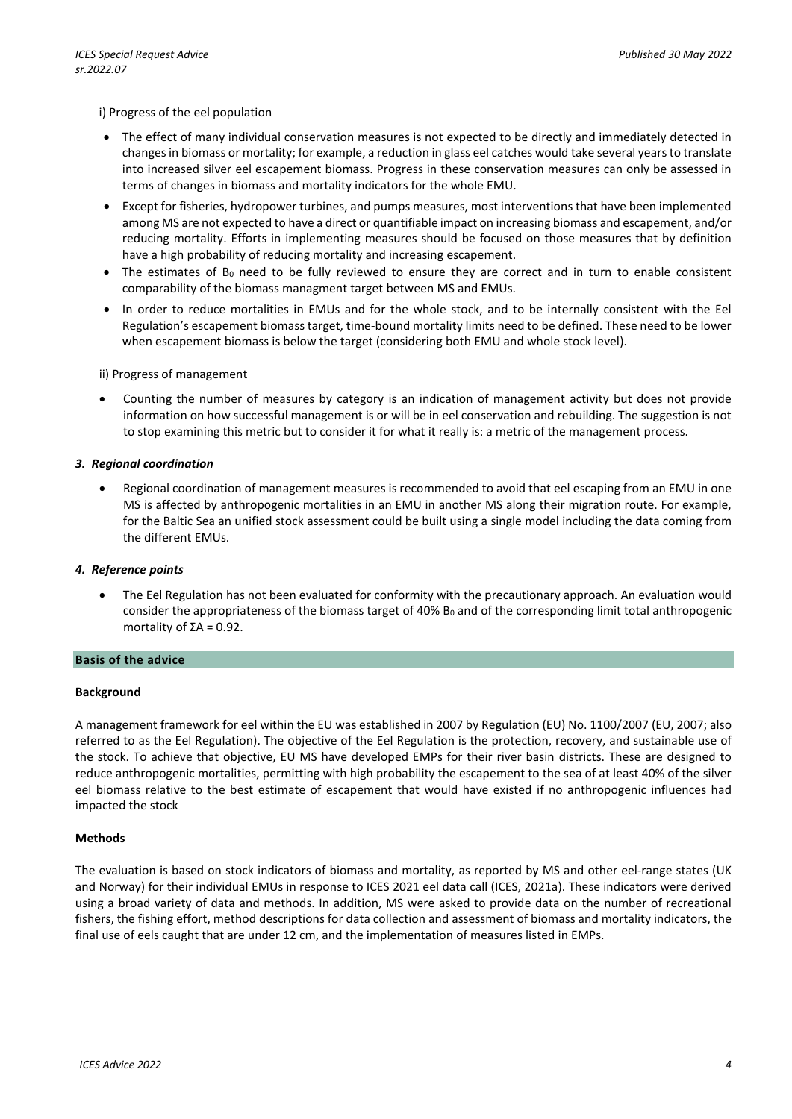### i) Progress of the eel population

- The effect of many individual conservation measures is not expected to be directly and immediately detected in changes in biomass or mortality; for example, a reduction in glass eel catches would take several years to translate into increased silver eel escapement biomass. Progress in these conservation measures can only be assessed in terms of changes in biomass and mortality indicators for the whole EMU.
- Except for fisheries, hydropower turbines, and pumps measures, most interventions that have been implemented among MS are not expected to have a direct or quantifiable impact on increasing biomass and escapement, and/or reducing mortality. Efforts in implementing measures should be focused on those measures that by definition have a high probability of reducing mortality and increasing escapement.
- The estimates of B<sub>0</sub> need to be fully reviewed to ensure they are correct and in turn to enable consistent comparability of the biomass managment target between MS and EMUs.
- In order to reduce mortalities in EMUs and for the whole stock, and to be internally consistent with the Eel Regulation's escapement biomass target, time-bound mortality limits need to be defined. These need to be lower when escapement biomass is below the target (considering both EMU and whole stock level).

### ii) Progress of management

• Counting the number of measures by category is an indication of management activity but does not provide information on how successful management is or will be in eel conservation and rebuilding. The suggestion is not to stop examining this metric but to consider it for what it really is: a metric of the management process.

### *3. Regional coordination*

• Regional coordination of management measures is recommended to avoid that eel escaping from an EMU in one MS is affected by anthropogenic mortalities in an EMU in another MS along their migration route. For example, for the Baltic Sea an unified stock assessment could be built using a single model including the data coming from the different EMUs.

### *4. Reference points*

• The Eel Regulation has not been evaluated for conformity with the precautionary approach. An evaluation would consider the appropriateness of the biomass target of 40% B<sub>0</sub> and of the corresponding limit total anthropogenic mortality of  $\Sigma A = 0.92$ .

#### **Basis of the advice**

#### **Background**

A management framework for eel within the EU was established in 2007 by Regulation (EU) No. 1100/2007 (EU, 2007; also referred to as the Eel Regulation). The objective of the Eel Regulation is the protection, recovery, and sustainable use of the stock. To achieve that objective, EU MS have developed EMPs for their river basin districts. These are designed to reduce anthropogenic mortalities, permitting with high probability the escapement to the sea of at least 40% of the silver eel biomass relative to the best estimate of escapement that would have existed if no anthropogenic influences had impacted the stock

### **Methods**

The evaluation is based on stock indicators of biomass and mortality, as reported by MS and other eel-range states (UK and Norway) for their individual EMUs in response to ICES 2021 eel data call (ICES, 2021a). These indicators were derived using a broad variety of data and methods. In addition, MS were asked to provide data on the number of recreational fishers, the fishing effort, method descriptions for data collection and assessment of biomass and mortality indicators, the final use of eels caught that are under 12 cm, and the implementation of measures listed in EMPs.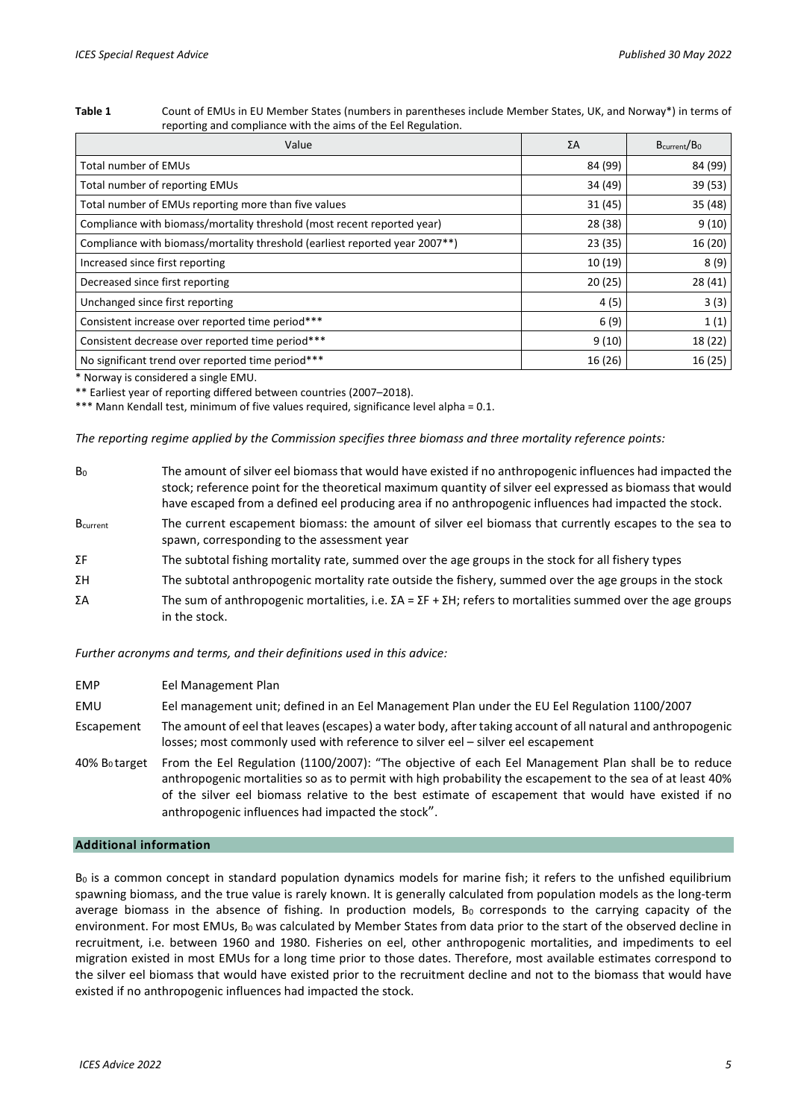#### **Table 1** Count of EMUs in EU Member States (numbers in parentheses include Member States, UK, and Norway\*) in terms of reporting and compliance with the aims of the Eel Regulation.

| Value                                                                                    | ΣΑ      | B <sub>current</sub> /B <sub>0</sub> |
|------------------------------------------------------------------------------------------|---------|--------------------------------------|
| <b>Total number of EMUs</b>                                                              | 84 (99) | 84 (99)                              |
| Total number of reporting EMUs                                                           | 34 (49) | 39 (53)                              |
| Total number of EMUs reporting more than five values                                     | 31 (45) | 35 (48)                              |
| Compliance with biomass/mortality threshold (most recent reported year)                  | 28 (38) | 9(10)                                |
| Compliance with biomass/mortality threshold (earliest reported year 2007 <sup>**</sup> ) | 23 (35) | 16 (20)                              |
| Increased since first reporting                                                          | 10 (19) | 8(9)                                 |
| Decreased since first reporting                                                          | 20(25)  | 28(41)                               |
| Unchanged since first reporting                                                          | 4(5)    | 3(3)                                 |
| Consistent increase over reported time period***                                         | 6(9)    | 1(1)                                 |
| Consistent decrease over reported time period***                                         | 9(10)   | 18 (22)                              |
| No significant trend over reported time period***                                        | 16 (26) | 16 (25)                              |

\* Norway is considered a single EMU.

\*\* Earliest year of reporting differed between countries (2007–2018).

\*\*\* Mann Kendall test, minimum of five values required, significance level alpha = 0.1.

*The reporting regime applied by the Commission specifies three biomass and three mortality reference points:*

| The amount of silver eel biomass that would have existed if no anthropogenic influences had impacted the<br>stock; reference point for the theoretical maximum quantity of silver eel expressed as biomass that would<br>have escaped from a defined eel producing area if no anthropogenic influences had impacted the stock. |
|--------------------------------------------------------------------------------------------------------------------------------------------------------------------------------------------------------------------------------------------------------------------------------------------------------------------------------|
| The current escapement biomass: the amount of silver eel biomass that currently escapes to the sea to<br>spawn, corresponding to the assessment year                                                                                                                                                                           |
| The subtotal fishing mortality rate, summed over the age groups in the stock for all fishery types                                                                                                                                                                                                                             |
| The subtotal anthropogenic mortality rate outside the fishery, summed over the age groups in the stock                                                                                                                                                                                                                         |
| The sum of anthropogenic mortalities, i.e. $\Sigma A = \Sigma F + \Sigma H$ ; refers to mortalities summed over the age groups<br>in the stock.                                                                                                                                                                                |
|                                                                                                                                                                                                                                                                                                                                |

*Further acronyms and terms, and their definitions used in this advice:* 

- EMP Eel Management Plan
- EMU Eel management unit; defined in an Eel Management Plan under the EU Eel Regulation 1100/2007
- Escapement The amount of eel that leaves (escapes) a water body, after taking account of all natural and anthropogenic losses; most commonly used with reference to silver eel – silver eel escapement
- 40% B0 target From the Eel Regulation (1100/2007): "The objective of each Eel Management Plan shall be to reduce anthropogenic mortalities so as to permit with high probability the escapement to the sea of at least 40% of the silver eel biomass relative to the best estimate of escapement that would have existed if no anthropogenic influences had impacted the stock".

### **Additional information**

B<sub>0</sub> is a common concept in standard population dynamics models for marine fish; it refers to the unfished equilibrium spawning biomass, and the true value is rarely known. It is generally calculated from population models as the long-term average biomass in the absence of fishing. In production models,  $B_0$  corresponds to the carrying capacity of the environment. For most EMUs, B<sub>0</sub> was calculated by Member States from data prior to the start of the observed decline in recruitment, i.e. between 1960 and 1980. Fisheries on eel, other anthropogenic mortalities, and impediments to eel migration existed in most EMUs for a long time prior to those dates. Therefore, most available estimates correspond to the silver eel biomass that would have existed prior to the recruitment decline and not to the biomass that would have existed if no anthropogenic influences had impacted the stock.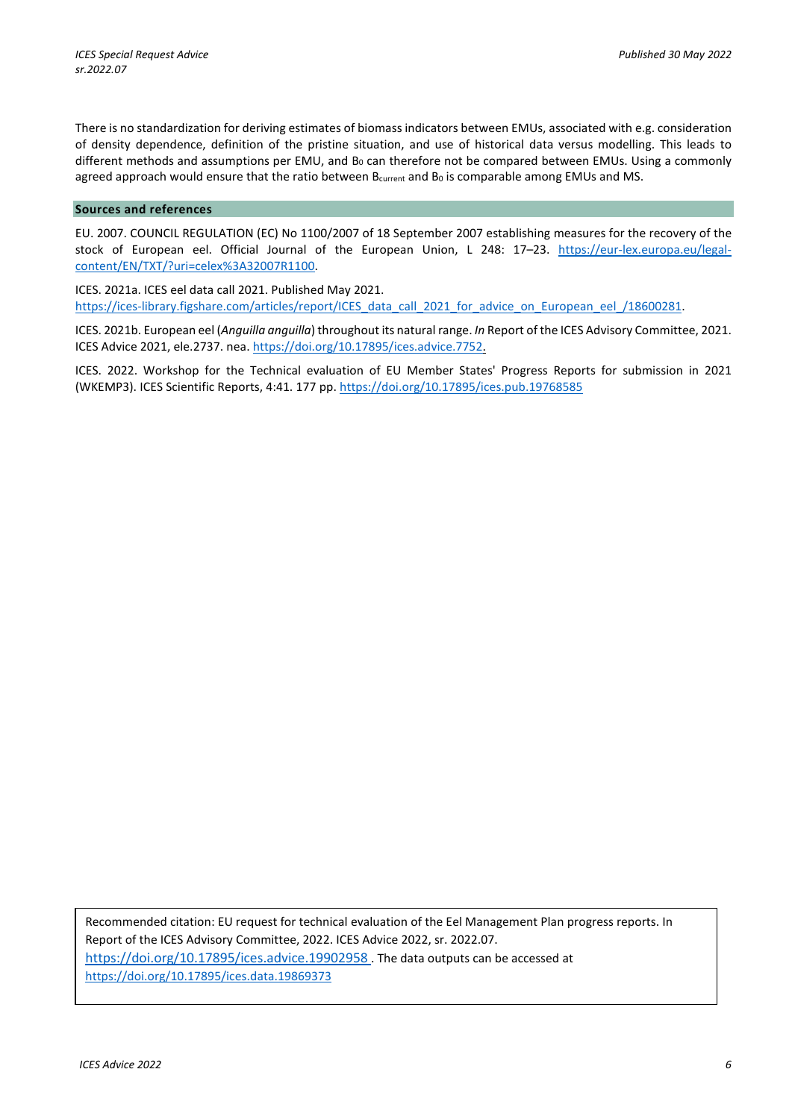There is no standardization for deriving estimates of biomass indicators between EMUs, associated with e.g. consideration of density dependence, definition of the pristine situation, and use of historical data versus modelling. This leads to different methods and assumptions per EMU, and B<sub>0</sub> can therefore not be compared between EMUs. Using a commonly agreed approach would ensure that the ratio between Bcurrent and Bo is comparable among EMUs and MS.

### **Sources and references**

EU. 2007. COUNCIL REGULATION (EC) No 1100/2007 of 18 September 2007 establishing measures for the recovery of the stock of European eel. Official Journal of the European Union, L 248: 17–23. [https://eur-lex.europa.eu/legal](https://eur-lex.europa.eu/legal-content/EN/TXT/?uri=celex%3A32007R1100)[content/EN/TXT/?uri=celex%3A32007R1100](https://eur-lex.europa.eu/legal-content/EN/TXT/?uri=celex%3A32007R1100).

ICES. 2021a. ICES eel data call 2021. Published May 2021. [https://ices-library.figshare.com/articles/report/ICES\\_data\\_call\\_2021\\_for\\_advice\\_on\\_European\\_eel\\_/18600281.](https://ices-library.figshare.com/articles/report/ICES_data_call_2021_for_advice_on_European_eel_/18600281)

ICES. 2021b. European eel (*Anguilla anguilla*) throughout its natural range. *In* Report of the ICES Advisory Committee, 2021. ICES Advice 2021, ele.2737. nea. https://doi.org/10.17895/ices.advice.7752.

ICES. 2022. Workshop for the Technical evaluation of EU Member States' Progress Reports for submission in 2021 (WKEMP3). ICES Scientific Reports, 4:41. 177 pp. https://doi.org/10.17895/ices.pub.19768585

Recommended citation: EU request for technical evaluation of the Eel Management Plan progress reports. In Report of the ICES Advisory Committee, 2022. ICES Advice 2022, sr. 2022.07. <https://doi.org/10.17895/ices.advice.19902958> . The data outputs can be accessed at <https://doi.org/10.17895/ices.data.19869373>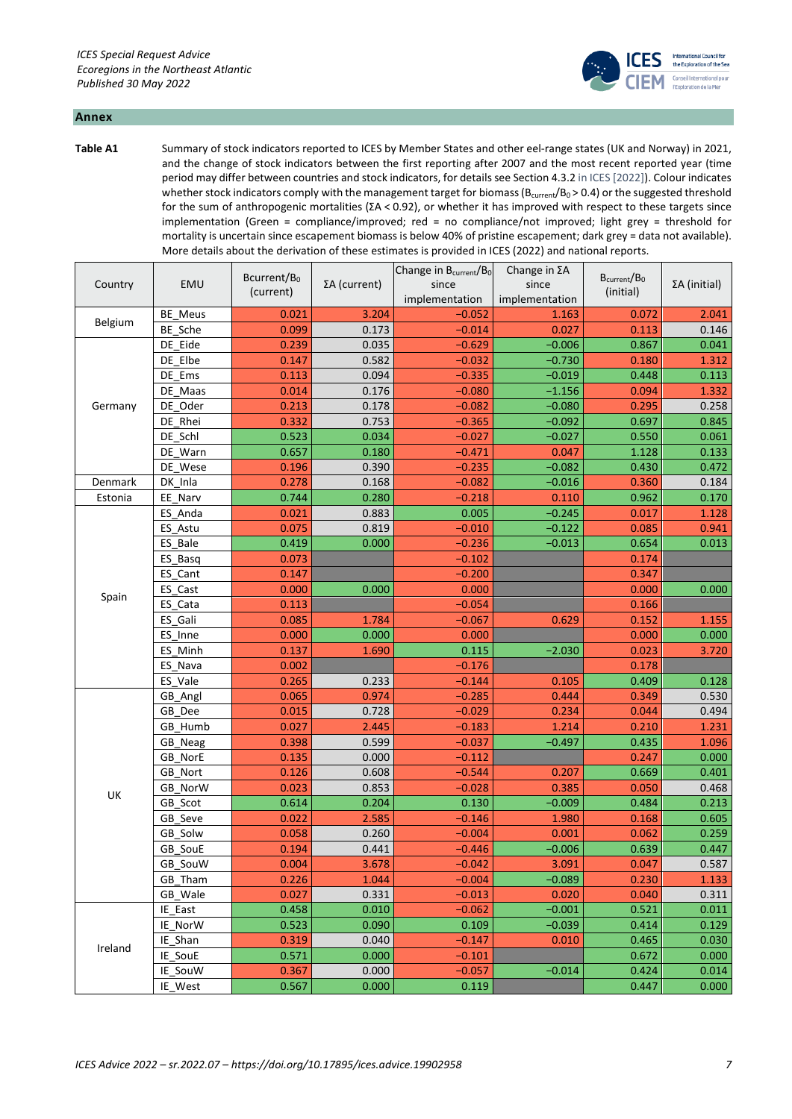

### **Annex**

**Table A1** Summary of stock indicators reported to ICES by Member States and other eel-range states (UK and Norway) in 2021, and the change of stock indicators between the first reporting after 2007 and the most recent reported year (time period may differ between countries and stock indicators, for details see Section 4.3.2 in ICES [2022]). Colour indicates whether stock indicators comply with the management target for biomass ( $B_{\text{current}}/B_0 > 0.4$ ) or the suggested threshold for the sum of anthropogenic mortalities (ΣA < 0.92), or whether it has improved with respect to these targets since implementation (Green = compliance/improved; red = no compliance/not improved; light grey = threshold for mortality is uncertain since escapement biomass is below 40% of pristine escapement; dark grey = data not available). More details about the derivation of these estimates is provided in ICES (2022) and national reports.

|                    | EMU     | Bcurrent/B <sub>0</sub><br>(current) |              | Change in B <sub>current</sub> /B <sub>0</sub> | Change in ΣA   | B <sub>current</sub> /B <sub>0</sub> |                      |
|--------------------|---------|--------------------------------------|--------------|------------------------------------------------|----------------|--------------------------------------|----------------------|
| Country            |         |                                      | ΣA (current) | since                                          | since          | (initial)                            | $\Sigma A$ (initial) |
|                    |         |                                      |              | implementation                                 | implementation |                                      |                      |
| Belgium            | BE_Meus | 0.021                                | 3.204        | $-0.052$                                       | 1.163          | 0.072                                | 2.041                |
|                    | BE_Sche | 0.099                                | 0.173        | $-0.014$                                       | 0.027          | 0.113                                | 0.146                |
|                    | DE Eide | 0.239                                | 0.035        | $-0.629$                                       | $-0.006$       | 0.867                                | 0.041                |
|                    | DE Elbe | 0.147                                | 0.582        | $-0.032$                                       | $-0.730$       | 0.180                                | 1.312                |
|                    | DE_Ems  | 0.113                                | 0.094        | $-0.335$                                       | $-0.019$       | 0.448                                | 0.113                |
| Germany<br>Denmark | DE Maas | 0.014                                | 0.176        | $-0.080$                                       | $-1.156$       | 0.094                                | 1.332                |
|                    | DE Oder | 0.213                                | 0.178        | $-0.082$                                       | $-0.080$       | 0.295                                | 0.258                |
|                    | DE_Rhei | 0.332                                | 0.753        | $-0.365$                                       | $-0.092$       | 0.697                                | 0.845                |
|                    | DE_Schl | 0.523                                | 0.034        | $-0.027$                                       | $-0.027$       | 0.550                                | 0.061                |
|                    | DE Warn | 0.657                                | 0.180        | $-0.471$                                       | 0.047          | 1.128                                | 0.133                |
|                    | DE_Wese | 0.196                                | 0.390        | $-0.235$                                       | $-0.082$       | 0.430                                | 0.472                |
|                    | DK Inla | 0.278                                | 0.168        | $-0.082$                                       | $-0.016$       | 0.360                                | 0.184                |
| Estonia            | EE Narv | 0.744                                | 0.280        | $-0.218$                                       | 0.110          | 0.962                                | 0.170                |
|                    | ES_Anda | 0.021                                | 0.883        | 0.005                                          | $-0.245$       | 0.017                                | 1.128                |
|                    | ES_Astu | 0.075                                | 0.819        | $-0.010$                                       | $-0.122$       | 0.085                                | 0.941                |
|                    | ES Bale | 0.419                                | 0.000        | $-0.236$                                       | $-0.013$       | 0.654                                | 0.013                |
|                    | ES_Basq | 0.073                                |              | $-0.102$                                       |                | 0.174                                |                      |
|                    | ES_Cant | 0.147                                |              | $-0.200$                                       |                | 0.347                                |                      |
| Spain              | ES_Cast | 0.000                                | 0.000        | 0.000                                          |                | 0.000                                | 0.000                |
|                    | ES_Cata | 0.113                                |              | $-0.054$                                       |                | 0.166                                |                      |
|                    | ES_Gali | 0.085                                | 1.784        | $-0.067$                                       | 0.629          | 0.152                                | 1.155                |
|                    | ES_Inne | 0.000                                | 0.000        | 0.000                                          |                | 0.000                                | 0.000                |
|                    | ES_Minh | 0.137                                | 1.690        | 0.115                                          | $-2.030$       | 0.023                                | 3.720                |
|                    | ES_Nava | 0.002                                |              | $-0.176$                                       |                | 0.178                                |                      |
|                    | ES Vale | 0.265                                | 0.233        | $-0.144$                                       | 0.105          | 0.409                                | 0.128                |
|                    | GB_Angl | 0.065                                | 0.974        | $-0.285$                                       | 0.444          | 0.349                                | 0.530                |
|                    | GB Dee  | 0.015                                | 0.728        | $-0.029$                                       | 0.234          | 0.044                                | 0.494                |
|                    | GB Humb | 0.027                                | 2.445        | $-0.183$                                       | 1.214          | 0.210                                | 1.231                |
|                    | GB_Neag | 0.398                                | 0.599        | $-0.037$                                       | $-0.497$       | 0.435                                | 1.096                |
|                    | GB NorE | 0.135                                | 0.000        | $-0.112$                                       |                | 0.247                                | 0.000                |
|                    | GB_Nort | 0.126                                | 0.608        | $-0.544$                                       | 0.207          | 0.669                                | 0.401                |
| UK                 | GB NorW | 0.023                                | 0.853        | $-0.028$                                       | 0.385          | 0.050                                | 0.468                |
|                    | GB_Scot | 0.614                                | 0.204        | 0.130                                          | $-0.009$       | 0.484                                | 0.213                |
|                    | GB_Seve | 0.022                                | 2.585        | $-0.146$                                       | 1.980          | 0.168                                | 0.605                |
|                    | GB_Solw | 0.058                                | 0.260        | $-0.004$                                       | 0.001          | 0.062                                | 0.259                |
|                    | GB_SouE | 0.194                                | 0.441        | $-0.446$                                       | $-0.006$       | 0.639                                | 0.447                |
|                    | GB_SouW | 0.004                                | 3.678        | $-0.042$                                       | 3.091          | 0.047                                | 0.587                |
|                    | GB Tham | 0.226                                | 1.044        | $-0.004$                                       | $-0.089$       | 0.230                                | 1.133                |
|                    | GB Wale | 0.027                                | 0.331        | $-0.013$                                       | 0.020          | 0.040                                | 0.311                |
|                    | IE East | 0.458                                | 0.010        | $-0.062$                                       | $-0.001$       | 0.521                                | 0.011                |
| Ireland            | IE NorW | 0.523                                | 0.090        | 0.109                                          | $-0.039$       | 0.414                                | 0.129                |
|                    | IE Shan | 0.319                                | 0.040        | $-0.147$                                       | 0.010          | 0.465                                | 0.030                |
|                    | IE_SouE | 0.571                                | 0.000        | $-0.101$                                       |                | 0.672                                | 0.000                |
|                    | IE SouW | 0.367                                | 0.000        | $-0.057$                                       | $-0.014$       | 0.424                                | 0.014                |
|                    | IE West | 0.567                                | 0.000        | 0.119                                          |                | 0.447                                | 0.000                |